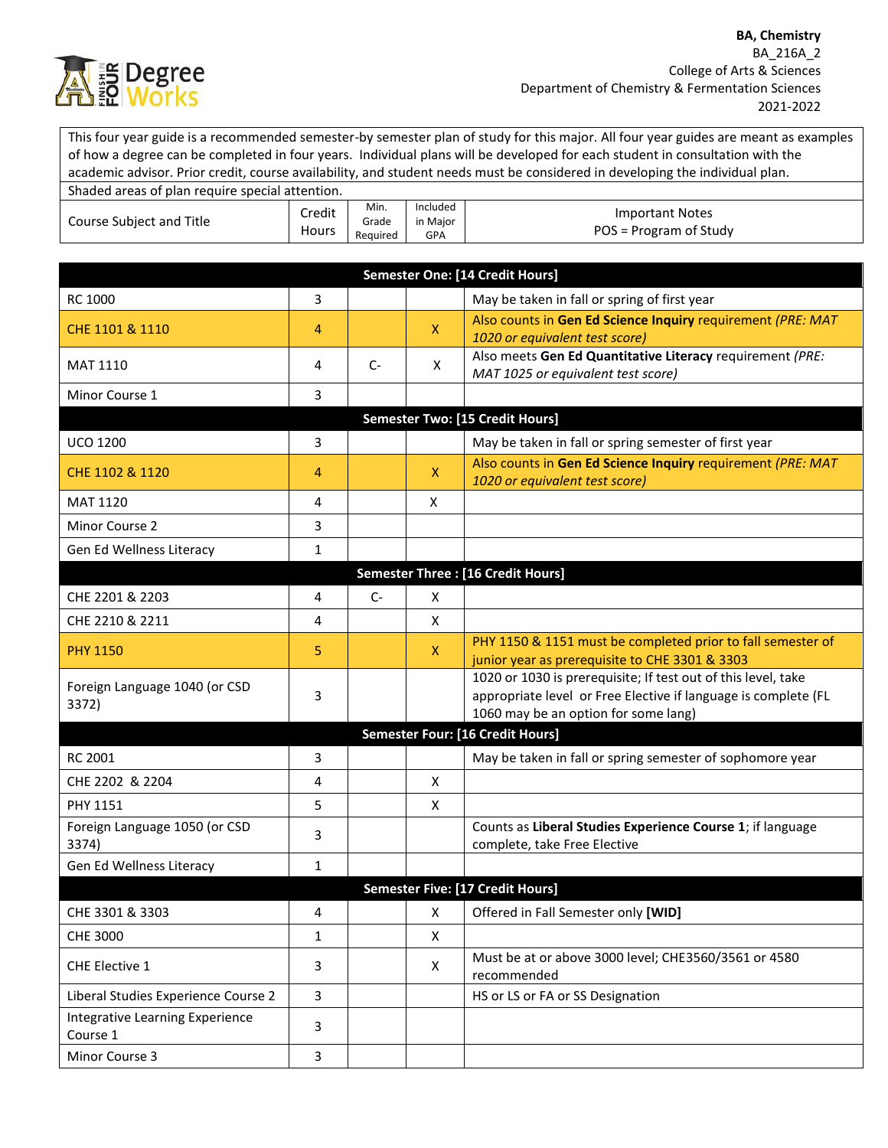

This four year guide is a recommended semester-by semester plan of study for this major. All four year guides are meant as examples of how a degree can be completed in four years. Individual plans will be developed for each student in consultation with the academic advisor. Prior credit, course availability, and student needs must be considered in developing the individual plan.

| Shaded areas of plan require special attention. |                 |                           |                                    |                                           |  |
|-------------------------------------------------|-----------------|---------------------------|------------------------------------|-------------------------------------------|--|
| Course Subject and Title                        | Credit<br>Hours | Min.<br>Grade<br>Reauired | Included<br>in Maior<br><b>GPA</b> | Important Notes<br>POS = Program of Study |  |

|                                             |                         |      |              | Semester One: [14 Credit Hours]                                                                                                                                         |
|---------------------------------------------|-------------------------|------|--------------|-------------------------------------------------------------------------------------------------------------------------------------------------------------------------|
| <b>RC 1000</b>                              | 3                       |      |              | May be taken in fall or spring of first year                                                                                                                            |
| CHE 1101 & 1110                             | 4                       |      | $\mathsf{X}$ | Also counts in Gen Ed Science Inquiry requirement (PRE: MAT<br>1020 or equivalent test score)                                                                           |
| <b>MAT 1110</b>                             | 4                       | $C-$ | X            | Also meets Gen Ed Quantitative Literacy requirement (PRE:<br>MAT 1025 or equivalent test score)                                                                         |
| Minor Course 1                              | 3                       |      |              |                                                                                                                                                                         |
|                                             |                         |      |              | Semester Two: [15 Credit Hours]                                                                                                                                         |
| <b>UCO 1200</b>                             | 3                       |      |              | May be taken in fall or spring semester of first year                                                                                                                   |
| CHE 1102 & 1120                             | 4                       |      | $\mathsf{X}$ | Also counts in Gen Ed Science Inquiry requirement (PRE: MAT<br>1020 or equivalent test score)                                                                           |
| <b>MAT 1120</b>                             | 4                       |      | Χ            |                                                                                                                                                                         |
| Minor Course 2                              | 3                       |      |              |                                                                                                                                                                         |
| Gen Ed Wellness Literacy                    | 1                       |      |              |                                                                                                                                                                         |
|                                             |                         |      |              | <b>Semester Three: [16 Credit Hours]</b>                                                                                                                                |
| CHE 2201 & 2203                             | 4                       | $C-$ | X            |                                                                                                                                                                         |
| CHE 2210 & 2211                             | 4                       |      | X            |                                                                                                                                                                         |
| <b>PHY 1150</b>                             | 5                       |      | $\mathsf{X}$ | PHY 1150 & 1151 must be completed prior to fall semester of<br>junior year as prerequisite to CHE 3301 & 3303                                                           |
| Foreign Language 1040 (or CSD<br>3372)      | 3                       |      |              | 1020 or 1030 is prerequisite; If test out of this level, take<br>appropriate level or Free Elective if language is complete (FL<br>1060 may be an option for some lang) |
|                                             |                         |      |              | <b>Semester Four: [16 Credit Hours]</b>                                                                                                                                 |
| <b>RC 2001</b>                              | 3                       |      |              | May be taken in fall or spring semester of sophomore year                                                                                                               |
| CHE 2202 & 2204                             | 4                       |      | X            |                                                                                                                                                                         |
| PHY 1151                                    | 5                       |      | X            |                                                                                                                                                                         |
| Foreign Language 1050 (or CSD<br>3374)      | 3                       |      |              | Counts as Liberal Studies Experience Course 1; if language<br>complete, take Free Elective                                                                              |
| Gen Ed Wellness Literacy                    | $\mathbf{1}$            |      |              |                                                                                                                                                                         |
|                                             |                         |      |              | Semester Five: [17 Credit Hours]                                                                                                                                        |
| CHE 3301 & 3303                             | 4                       |      | X            | Offered in Fall Semester only [WID]                                                                                                                                     |
| <b>CHE 3000</b>                             | $\mathbf{1}$            |      | X            |                                                                                                                                                                         |
| CHE Elective 1                              | 3                       |      | X            | Must be at or above 3000 level; CHE3560/3561 or 4580<br>recommended                                                                                                     |
| Liberal Studies Experience Course 2         | 3                       |      |              | HS or LS or FA or SS Designation                                                                                                                                        |
| Integrative Learning Experience<br>Course 1 | 3                       |      |              |                                                                                                                                                                         |
| Minor Course 3                              | $\overline{\mathbf{3}}$ |      |              |                                                                                                                                                                         |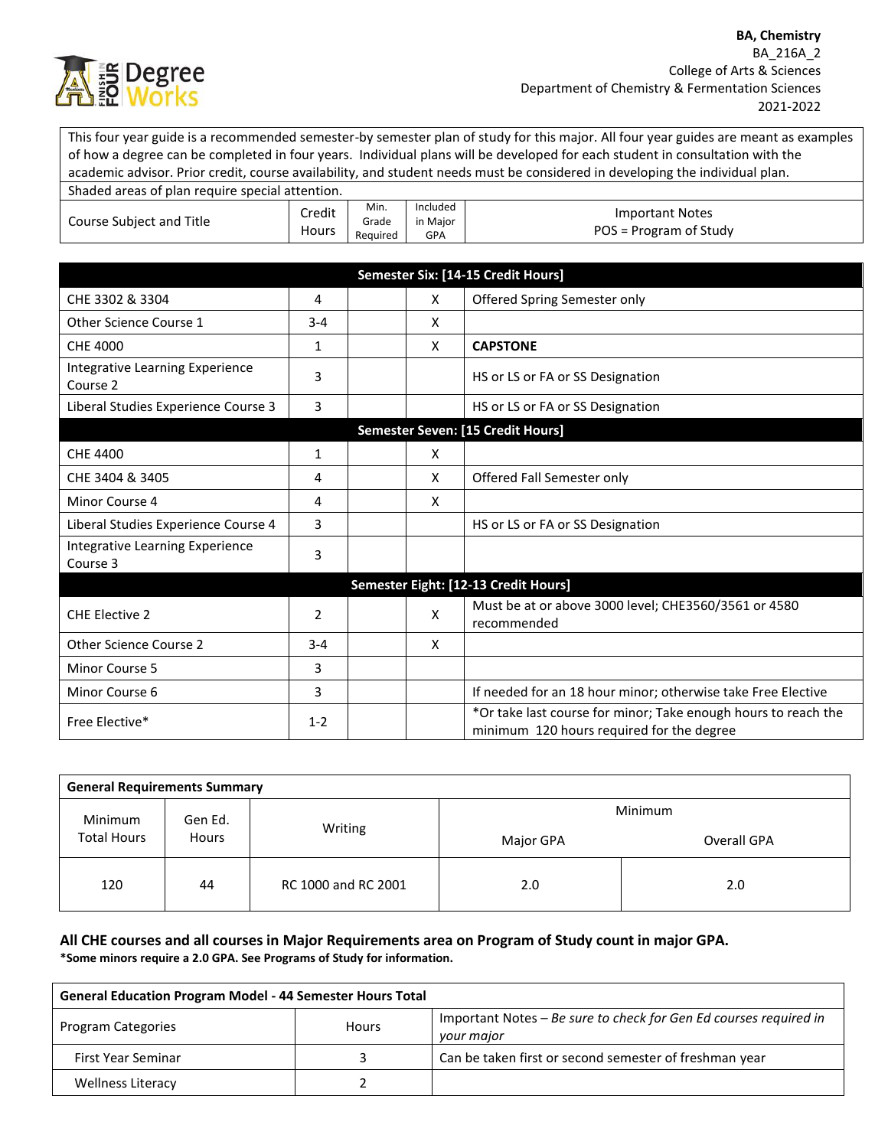

This four year guide is a recommended semester-by semester plan of study for this major. All four year guides are meant as examples of how a degree can be completed in four years. Individual plans will be developed for each student in consultation with the academic advisor. Prior credit, course availability, and student needs must be considered in developing the individual plan. Shaded areas of plan require special attention.

| Shaqed areas of pian require special attention. |                 |                           |                             |                                                  |
|-------------------------------------------------|-----------------|---------------------------|-----------------------------|--------------------------------------------------|
| Course Subject and Title                        | Credit<br>Hours | Min.<br>Grade<br>Reauired | Included<br>in Maior<br>GPA | <b>Important Notes</b><br>POS = Program of Study |

|                                             |         |   | Semester Six: [14-15 Credit Hours]                                                                          |
|---------------------------------------------|---------|---|-------------------------------------------------------------------------------------------------------------|
| CHE 3302 & 3304                             | 4       | X | Offered Spring Semester only                                                                                |
| Other Science Course 1                      | $3 - 4$ | X |                                                                                                             |
| CHE 4000                                    | 1       | X | <b>CAPSTONE</b>                                                                                             |
| Integrative Learning Experience<br>Course 2 | 3       |   | HS or LS or FA or SS Designation                                                                            |
| Liberal Studies Experience Course 3         | 3       |   | HS or LS or FA or SS Designation                                                                            |
|                                             |         |   | Semester Seven: [15 Credit Hours]                                                                           |
| CHE 4400                                    | 1       | X |                                                                                                             |
| CHE 3404 & 3405                             | 4       | X | Offered Fall Semester only                                                                                  |
| Minor Course 4                              | 4       | X |                                                                                                             |
| Liberal Studies Experience Course 4         | 3       |   | HS or LS or FA or SS Designation                                                                            |
| Integrative Learning Experience<br>Course 3 | 3       |   |                                                                                                             |
|                                             |         |   | Semester Eight: [12-13 Credit Hours]                                                                        |
| <b>CHE Elective 2</b>                       | 2       | X | Must be at or above 3000 level; CHE3560/3561 or 4580<br>recommended                                         |
| <b>Other Science Course 2</b>               | $3 - 4$ | X |                                                                                                             |
| Minor Course 5                              | 3       |   |                                                                                                             |
| Minor Course 6                              | 3       |   | If needed for an 18 hour minor; otherwise take Free Elective                                                |
| Free Elective*                              | $1 - 2$ |   | *Or take last course for minor; Take enough hours to reach the<br>minimum 120 hours required for the degree |

| <b>General Requirements Summary</b> |         |                     |           |             |  |  |  |
|-------------------------------------|---------|---------------------|-----------|-------------|--|--|--|
| Minimum                             | Gen Ed. |                     | Minimum   |             |  |  |  |
| <b>Total Hours</b><br><b>Hours</b>  |         | Writing             | Major GPA | Overall GPA |  |  |  |
| 120                                 | 44      | RC 1000 and RC 2001 | 2.0       | 2.0         |  |  |  |

## **All CHE courses and all courses in Major Requirements area on Program of Study count in major GPA. \*Some minors require a 2.0 GPA. See Programs of Study for information.**

| <b>General Education Program Model - 44 Semester Hours Total</b> |              |                                                                                 |  |  |
|------------------------------------------------------------------|--------------|---------------------------------------------------------------------------------|--|--|
| <b>Program Categories</b>                                        | <b>Hours</b> | Important Notes – Be sure to check for Gen Ed courses required in<br>your major |  |  |
| First Year Seminar                                               |              | Can be taken first or second semester of freshman year                          |  |  |
| <b>Wellness Literacy</b>                                         |              |                                                                                 |  |  |